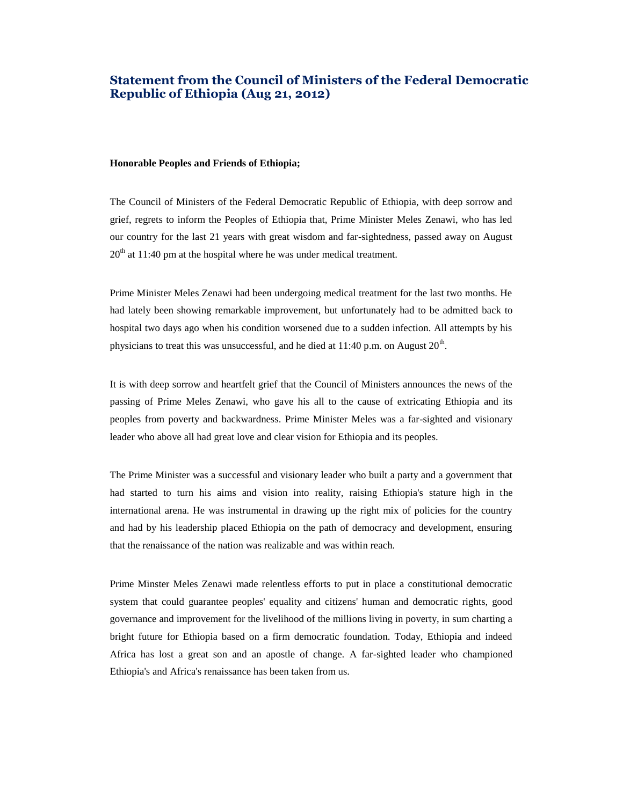# **Statement from the Council of Ministers of the Federal Democratic Republic of Ethiopia (Aug 21, 2012)**

#### **Honorable Peoples and Friends of Ethiopia;**

The Council of Ministers of the Federal Democratic Republic of Ethiopia, with deep sorrow and grief, regrets to inform the Peoples of Ethiopia that, Prime Minister Meles Zenawi, who has led our country for the last 21 years with great wisdom and far-sightedness, passed away on August  $20<sup>th</sup>$  at 11:40 pm at the hospital where he was under medical treatment.

Prime Minister Meles Zenawi had been undergoing medical treatment for the last two months. He had lately been showing remarkable improvement, but unfortunately had to be admitted back to hospital two days ago when his condition worsened due to a sudden infection. All attempts by his physicians to treat this was unsuccessful, and he died at  $11:40$  p.m. on August  $20<sup>th</sup>$ .

It is with deep sorrow and heartfelt grief that the Council of Ministers announces the news of the passing of Prime Meles Zenawi, who gave his all to the cause of extricating Ethiopia and its peoples from poverty and backwardness. Prime Minister Meles was a far-sighted and visionary leader who above all had great love and clear vision for Ethiopia and its peoples.

The Prime Minister was a successful and visionary leader who built a party and a government that had started to turn his aims and vision into reality, raising Ethiopia's stature high in the international arena. He was instrumental in drawing up the right mix of policies for the country and had by his leadership placed Ethiopia on the path of democracy and development, ensuring that the renaissance of the nation was realizable and was within reach.

Prime Minster Meles Zenawi made relentless efforts to put in place a constitutional democratic system that could guarantee peoples' equality and citizens' human and democratic rights, good governance and improvement for the livelihood of the millions living in poverty, in sum charting a bright future for Ethiopia based on a firm democratic foundation. Today, Ethiopia and indeed Africa has lost a great son and an apostle of change. A far-sighted leader who championed Ethiopia's and Africa's renaissance has been taken from us.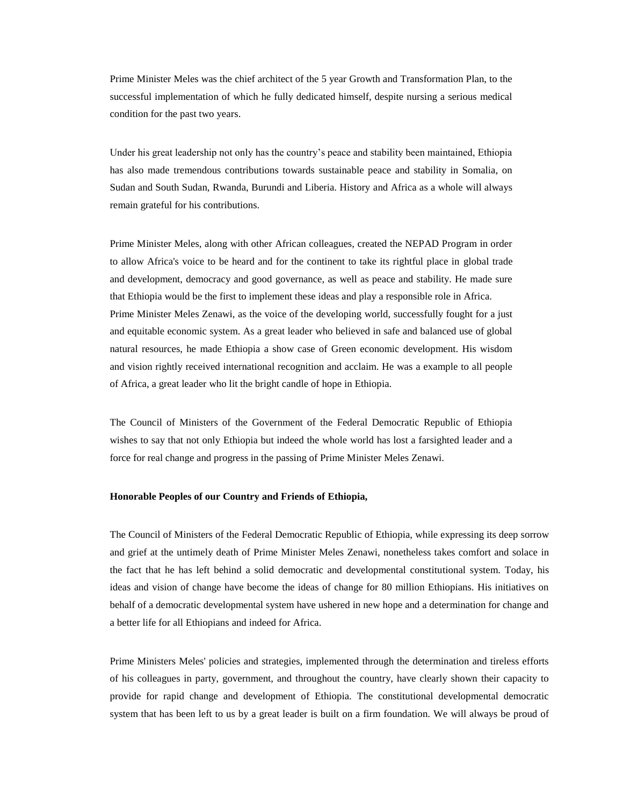Prime Minister Meles was the chief architect of the 5 year Growth and Transformation Plan, to the successful implementation of which he fully dedicated himself, despite nursing a serious medical condition for the past two years.

Under his great leadership not only has the country's peace and stability been maintained, Ethiopia has also made tremendous contributions towards sustainable peace and stability in Somalia, on Sudan and South Sudan, Rwanda, Burundi and Liberia. History and Africa as a whole will always remain grateful for his contributions.

Prime Minister Meles, along with other African colleagues, created the NEPAD Program in order to allow Africa's voice to be heard and for the continent to take its rightful place in global trade and development, democracy and good governance, as well as peace and stability. He made sure that Ethiopia would be the first to implement these ideas and play a responsible role in Africa. Prime Minister Meles Zenawi, as the voice of the developing world, successfully fought for a just and equitable economic system. As a great leader who believed in safe and balanced use of global natural resources, he made Ethiopia a show case of Green economic development. His wisdom and vision rightly received international recognition and acclaim. He was a example to all people of Africa, a great leader who lit the bright candle of hope in Ethiopia.

The Council of Ministers of the Government of the Federal Democratic Republic of Ethiopia wishes to say that not only Ethiopia but indeed the whole world has lost a farsighted leader and a force for real change and progress in the passing of Prime Minister Meles Zenawi.

## **Honorable Peoples of our Country and Friends of Ethiopia,**

The Council of Ministers of the Federal Democratic Republic of Ethiopia, while expressing its deep sorrow and grief at the untimely death of Prime Minister Meles Zenawi, nonetheless takes comfort and solace in the fact that he has left behind a solid democratic and developmental constitutional system. Today, his ideas and vision of change have become the ideas of change for 80 million Ethiopians. His initiatives on behalf of a democratic developmental system have ushered in new hope and a determination for change and a better life for all Ethiopians and indeed for Africa.

Prime Ministers Meles' policies and strategies, implemented through the determination and tireless efforts of his colleagues in party, government, and throughout the country, have clearly shown their capacity to provide for rapid change and development of Ethiopia. The constitutional developmental democratic system that has been left to us by a great leader is built on a firm foundation. We will always be proud of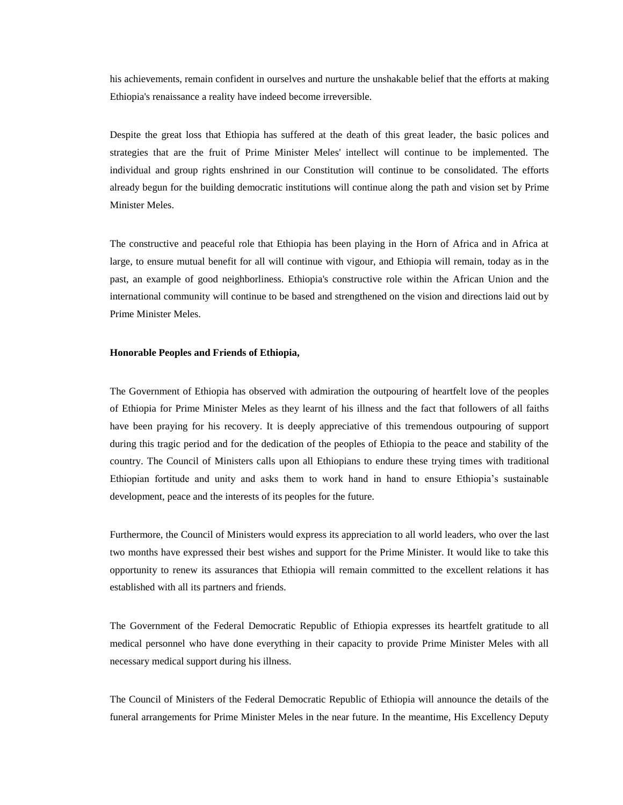his achievements, remain confident in ourselves and nurture the unshakable belief that the efforts at making Ethiopia's renaissance a reality have indeed become irreversible.

Despite the great loss that Ethiopia has suffered at the death of this great leader, the basic polices and strategies that are the fruit of Prime Minister Meles' intellect will continue to be implemented. The individual and group rights enshrined in our Constitution will continue to be consolidated. The efforts already begun for the building democratic institutions will continue along the path and vision set by Prime Minister Meles.

The constructive and peaceful role that Ethiopia has been playing in the Horn of Africa and in Africa at large, to ensure mutual benefit for all will continue with vigour, and Ethiopia will remain, today as in the past, an example of good neighborliness. Ethiopia's constructive role within the African Union and the international community will continue to be based and strengthened on the vision and directions laid out by Prime Minister Meles.

#### **Honorable Peoples and Friends of Ethiopia,**

The Government of Ethiopia has observed with admiration the outpouring of heartfelt love of the peoples of Ethiopia for Prime Minister Meles as they learnt of his illness and the fact that followers of all faiths have been praying for his recovery. It is deeply appreciative of this tremendous outpouring of support during this tragic period and for the dedication of the peoples of Ethiopia to the peace and stability of the country. The Council of Ministers calls upon all Ethiopians to endure these trying times with traditional Ethiopian fortitude and unity and asks them to work hand in hand to ensure Ethiopia's sustainable development, peace and the interests of its peoples for the future.

Furthermore, the Council of Ministers would express its appreciation to all world leaders, who over the last two months have expressed their best wishes and support for the Prime Minister. It would like to take this opportunity to renew its assurances that Ethiopia will remain committed to the excellent relations it has established with all its partners and friends.

The Government of the Federal Democratic Republic of Ethiopia expresses its heartfelt gratitude to all medical personnel who have done everything in their capacity to provide Prime Minister Meles with all necessary medical support during his illness.

The Council of Ministers of the Federal Democratic Republic of Ethiopia will announce the details of the funeral arrangements for Prime Minister Meles in the near future. In the meantime, His Excellency Deputy